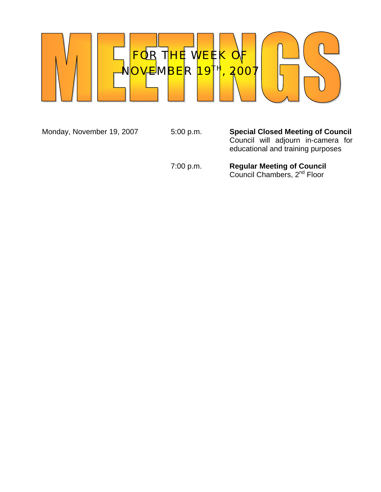

Monday, November 19, 2007 5:00 p.m. **Special Closed Meeting of Council** Council will adjourn in-camera for educational and training purposes

#### 7:00 p.m. **Regular Meeting of Council Council Chambers, 2<sup>nd</sup> Floor**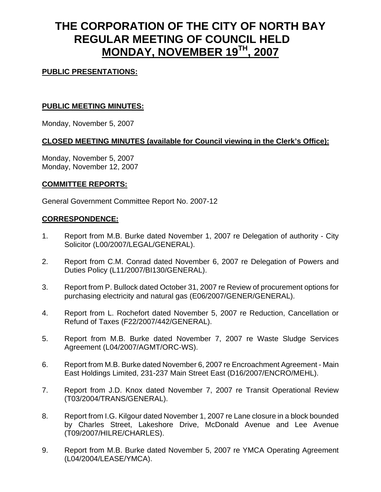# **THE CORPORATION OF THE CITY OF NORTH BAY REGULAR MEETING OF COUNCIL HELD MONDAY, NOVEMBER 19TH, 2007**

### **PUBLIC PRESENTATIONS:**

#### **PUBLIC MEETING MINUTES:**

Monday, November 5, 2007

## **CLOSED MEETING MINUTES (available for Council viewing in the Clerk's Office):**

Monday, November 5, 2007 Monday, November 12, 2007

#### **COMMITTEE REPORTS:**

General Government Committee Report No. 2007-12

#### **CORRESPONDENCE:**

- 1. Report from M.B. Burke dated November 1, 2007 re Delegation of authority City Solicitor (L00/2007/LEGAL/GENERAL).
- 2. Report from C.M. Conrad dated November 6, 2007 re Delegation of Powers and Duties Policy (L11/2007/BI130/GENERAL).
- 3. Report from P. Bullock dated October 31, 2007 re Review of procurement options for purchasing electricity and natural gas (E06/2007/GENER/GENERAL).
- 4. Report from L. Rochefort dated November 5, 2007 re Reduction, Cancellation or Refund of Taxes (F22/2007/442/GENERAL).
- 5. Report from M.B. Burke dated November 7, 2007 re Waste Sludge Services Agreement (L04/2007/AGMT/ORC-WS).
- 6. Report from M.B. Burke dated November 6, 2007 re Encroachment Agreement Main East Holdings Limited, 231-237 Main Street East (D16/2007/ENCRO/MEHL).
- 7. Report from J.D. Knox dated November 7, 2007 re Transit Operational Review (T03/2004/TRANS/GENERAL).
- 8. Report from I.G. Kilgour dated November 1, 2007 re Lane closure in a block bounded by Charles Street, Lakeshore Drive, McDonald Avenue and Lee Avenue (T09/2007/HILRE/CHARLES).
- 9. Report from M.B. Burke dated November 5, 2007 re YMCA Operating Agreement (L04/2004/LEASE/YMCA).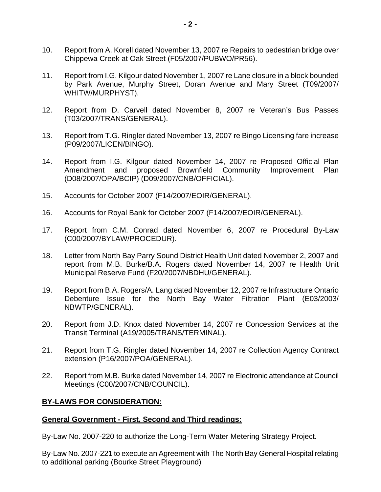- 10. Report from A. Korell dated November 13, 2007 re Repairs to pedestrian bridge over Chippewa Creek at Oak Street (F05/2007/PUBWO/PR56).
- 11. Report from I.G. Kilgour dated November 1, 2007 re Lane closure in a block bounded by Park Avenue, Murphy Street, Doran Avenue and Mary Street (T09/2007/ WHITW/MURPHYST).
- 12. Report from D. Carvell dated November 8, 2007 re Veteran's Bus Passes (T03/2007/TRANS/GENERAL).
- 13. Report from T.G. Ringler dated November 13, 2007 re Bingo Licensing fare increase (P09/2007/LICEN/BINGO).
- 14. Report from I.G. Kilgour dated November 14, 2007 re Proposed Official Plan Amendment and proposed Brownfield Community Improvement Plan (D08/2007/OPA/BCIP) (D09/2007/CNB/OFFICIAL).
- 15. Accounts for October 2007 (F14/2007/EOIR/GENERAL).
- 16. Accounts for Royal Bank for October 2007 (F14/2007/EOIR/GENERAL).
- 17. Report from C.M. Conrad dated November 6, 2007 re Procedural By-Law (C00/2007/BYLAW/PROCEDUR).
- 18. Letter from North Bay Parry Sound District Health Unit dated November 2, 2007 and report from M.B. Burke/B.A. Rogers dated November 14, 2007 re Health Unit Municipal Reserve Fund (F20/2007/NBDHU/GENERAL).
- 19. Report from B.A. Rogers/A. Lang dated November 12, 2007 re Infrastructure Ontario Debenture Issue for the North Bay Water Filtration Plant (E03/2003/ NBWTP/GENERAL).
- 20. Report from J.D. Knox dated November 14, 2007 re Concession Services at the Transit Terminal (A19/2005/TRANS/TERMINAL).
- 21. Report from T.G. Ringler dated November 14, 2007 re Collection Agency Contract extension (P16/2007/POA/GENERAL).
- 22. Report from M.B. Burke dated November 14, 2007 re Electronic attendance at Council Meetings (C00/2007/CNB/COUNCIL).

#### **BY-LAWS FOR CONSIDERATION:**

#### **General Government - First, Second and Third readings:**

By-Law No. 2007-220 to authorize the Long-Term Water Metering Strategy Project.

By-Law No. 2007-221 to execute an Agreement with The North Bay General Hospital relating to additional parking (Bourke Street Playground)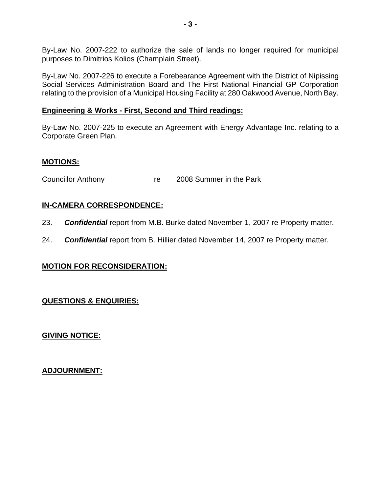By-Law No. 2007-222 to authorize the sale of lands no longer required for municipal purposes to Dimitrios Kolios (Champlain Street).

By-Law No. 2007-226 to execute a Forebearance Agreement with the District of Nipissing Social Services Administration Board and The First National Financial GP Corporation relating to the provision of a Municipal Housing Facility at 280 Oakwood Avenue, North Bay.

#### **Engineering & Works - First, Second and Third readings:**

By-Law No. 2007-225 to execute an Agreement with Energy Advantage Inc. relating to a Corporate Green Plan.

#### **MOTIONS:**

Councillor Anthony Tre 2008 Summer in the Park

## **IN-CAMERA CORRESPONDENCE:**

- 23. *Confidential* report from M.B. Burke dated November 1, 2007 re Property matter.
- 24. *Confidential* report from B. Hillier dated November 14, 2007 re Property matter.

## **MOTION FOR RECONSIDERATION:**

## **QUESTIONS & ENQUIRIES:**

**GIVING NOTICE:**

**ADJOURNMENT:**